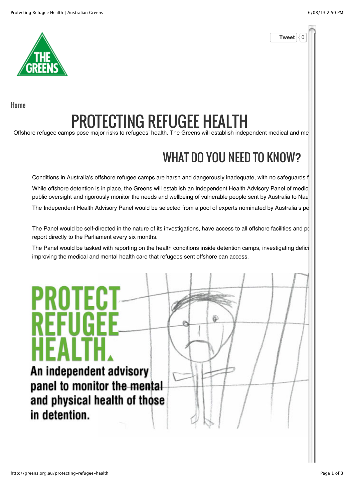**Tweet**  $\frac{1}{2}$  0



Home

## PROTECTING REFUGEE HEALTH

Offshore refugee camps pose major risks to refugees' health. The Greens will establish independent medical and me

#### WHAT DO YOU NEED TO KNOW?

Conditions in Australia's offshore refugee camps are harsh and dangerously inadequate, with no safeguards f While offshore detention is in place, the Greens will establish an Independent Health Advisory Panel of medic public oversight and rigorously monitor the needs and wellbeing of vulnerable people sent by Australia to Nau

The Independent Health Advisory Panel would be selected from a pool of experts nominated by Australia's pe

The Panel would be self-directed in the nature of its investigations, have access to all offshore facilities and pe report directly to the Parliament every six months.

The Panel would be tasked with reporting on the health conditions inside detention camps, investigating defici improving the medical and mental health care that refugees sent offshore can access.

An independent advisory panel to monitor the mental and physical health of those in detention.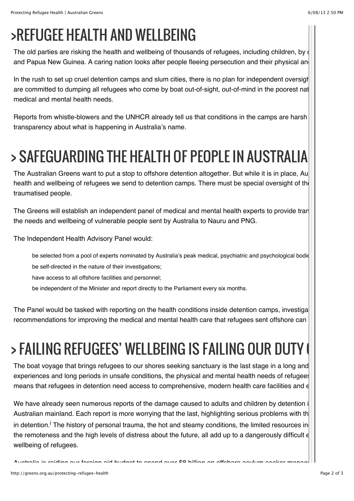### >REFUGEE HEALTH AND WELLBEING

The old parties are risking the health and wellbeing of thousands of refugees, including children, by  $\oint$ and Papua New Guinea. A caring nation looks after people fleeing persecution and their physical and

In the rush to set up cruel detention camps and slum cities, there is no plan for independent oversight are committed to dumping all refugees who come by boat out-of-sight, out-of-mind in the poorest nat medical and mental health needs.

Reports from whistle-blowers and the UNHCR already tell us that conditions in the camps are harsh transparency about what is happening in Australia's name.

# > SAFEGUARDING THE HEALTH OF PEOPLE IN AUSTRALIA

The Australian Greens want to put a stop to offshore detention altogether. But while it is in place, Au health and wellbeing of refugees we send to detention camps. There must be special oversight of the traumatised people.

The Greens will establish an independent panel of medical and mental health experts to provide tran the needs and wellbeing of vulnerable people sent by Australia to Nauru and PNG.

The Independent Health Advisory Panel would:

be selected from a pool of experts nominated by Australia's peak medical, psychiatric and psychological bodie be self-directed in the nature of their investigations;

have access to all offshore facilities and personnel;

be independent of the Minister and report directly to the Parliament every six months.

The Panel would be tasked with reporting on the health conditions inside detention camps, investigation recommendations for improving the medical and mental health care that refugees sent offshore can

# > FAILING REFUGEES' WELLBEING IS FAILING OUR DUTY (

The boat voyage that brings refugees to our shores seeking sanctuary is the last stage in a long and experiences and long periods in unsafe conditions, the physical and mental health needs of refugees means that refugees in detention need access to comprehensive, modern health care facilities and  $\epsilon$ 

We have already seen numerous reports of the damage caused to adults and children by detention i Australian mainland. Each report is more worrying that the last, highlighting serious problems with th in detention.<sup>i</sup> The history of personal trauma, the hot and steamy conditions, the limited resources in  $\Box$ the remoteness and the high levels of distress about the future, all add up to a dangerously difficult e wellbeing of refugees.

Australia is raiding our foreign aid budget to spend over \$8 billion on offshore asylum seeker management, and is outsourcing basic medical care to